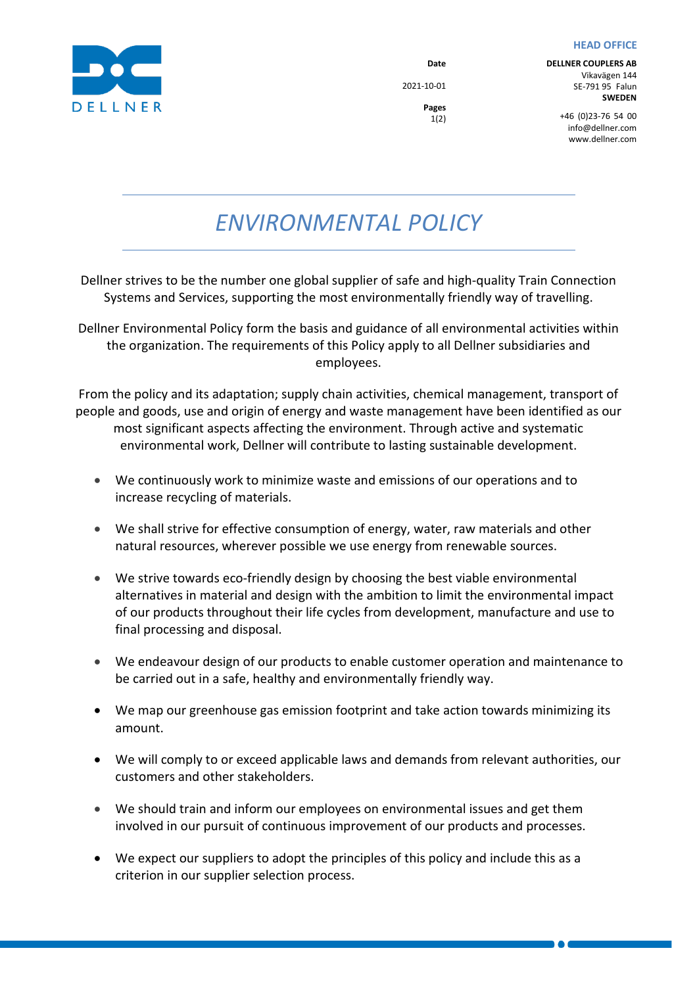## **HEAD OFFICE**



**Date** 2021-10-01

> **Pages** 1(2)

**DELLNER COUPLERS AB** Vikavägen 144 SE-791 95 Falun **SWEDEN**

+46  (0)23-76  54  00 info@dellner.com www.dellner.com

*ENVIRONMENTAL POLICY*

Dellner strives to be the number one global supplier of safe and high-quality Train Connection Systems and Services, supporting the most environmentally friendly way of travelling.

Dellner Environmental Policy form the basis and guidance of all environmental activities within the organization. The requirements of this Policy apply to all Dellner subsidiaries and employees.

From the policy and its adaptation; supply chain activities, chemical management, transport of people and goods, use and origin of energy and waste management have been identified as our most significant aspects affecting the environment. Through active and systematic environmental work, Dellner will contribute to lasting sustainable development.

- We continuously work to minimize waste and emissions of our operations and to increase recycling of materials.
- We shall strive for effective consumption of energy, water, raw materials and other natural resources, wherever possible we use energy from renewable sources.
- We strive towards eco-friendly design by choosing the best viable environmental alternatives in material and design with the ambition to limit the environmental impact of our products throughout their life cycles from development, manufacture and use to final processing and disposal.
- We endeavour design of our products to enable customer operation and maintenance to be carried out in a safe, healthy and environmentally friendly way.
- We map our greenhouse gas emission footprint and take action towards minimizing its amount.
- We will comply to or exceed applicable laws and demands from relevant authorities, our customers and other stakeholders.
- We should train and inform our employees on environmental issues and get them involved in our pursuit of continuous improvement of our products and processes.
- We expect our suppliers to adopt the principles of this policy and include this as a criterion in our supplier selection process.